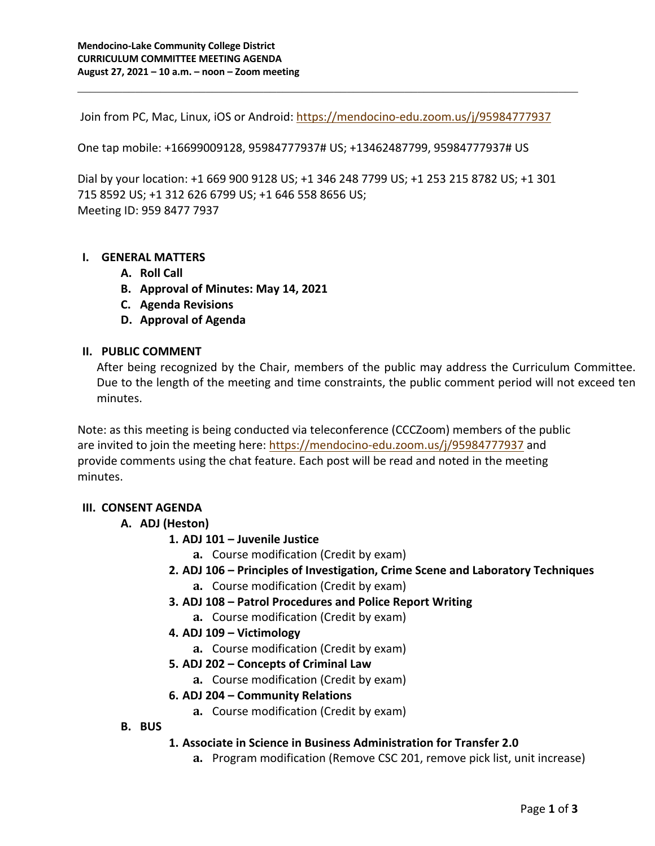Join from PC, Mac, Linux, iOS or Android: https://mendocino-edu.zoom.us/j/95984777937

One tap mobile: +16699009128, 95984777937# US; +13462487799, 95984777937# US

Dial by your location: +1 669 900 9128 US; +1 346 248 7799 US; +1 253 215 8782 US; +1 301 715 8592 US; +1 312 626 6799 US; +1 646 558 8656 US; Meeting ID: 959 8477 7937

### **I. GENERAL MATTERS**

- **A. Roll Call**
- **B. Approval of Minutes: May 14, 2021**
- **C. Agenda Revisions**
- **D. Approval of Agenda**

### **II. PUBLIC COMMENT**

After being recognized by the Chair, members of the public may address the Curriculum Committee. Due to the length of the meeting and time constraints, the public comment period will not exceed ten minutes.

Note: as this meeting is being conducted via teleconference (CCCZoom) members of the public are invited to join the meeting here: https://mendocino-edu.zoom.us/j/95984777937 and provide comments using the chat feature. Each post will be read and noted in the meeting minutes.

# **III. CONSENT AGENDA**

# **A. ADJ (Heston)**

# **1. ADJ 101 – Juvenile Justice**

**a.** Course modification (Credit by exam)

# **2. ADJ 106 – Principles of Investigation, Crime Scene and Laboratory Techniques**

- **a.** Course modification (Credit by exam)
- **3. ADJ 108 – Patrol Procedures and Police Report Writing**
	- **a.** Course modification (Credit by exam)
- **4. ADJ 109 – Victimology**
	- **a.** Course modification (Credit by exam)
- **5. ADJ 202 – Concepts of Criminal Law**
	- **a.** Course modification (Credit by exam)

# **6. ADJ 204 – Community Relations**

- **a.** Course modification (Credit by exam)
- **B. BUS**

#### **1. Associate in Science in Business Administration for Transfer 2.0**

**a.** Program modification (Remove CSC 201, remove pick list, unit increase)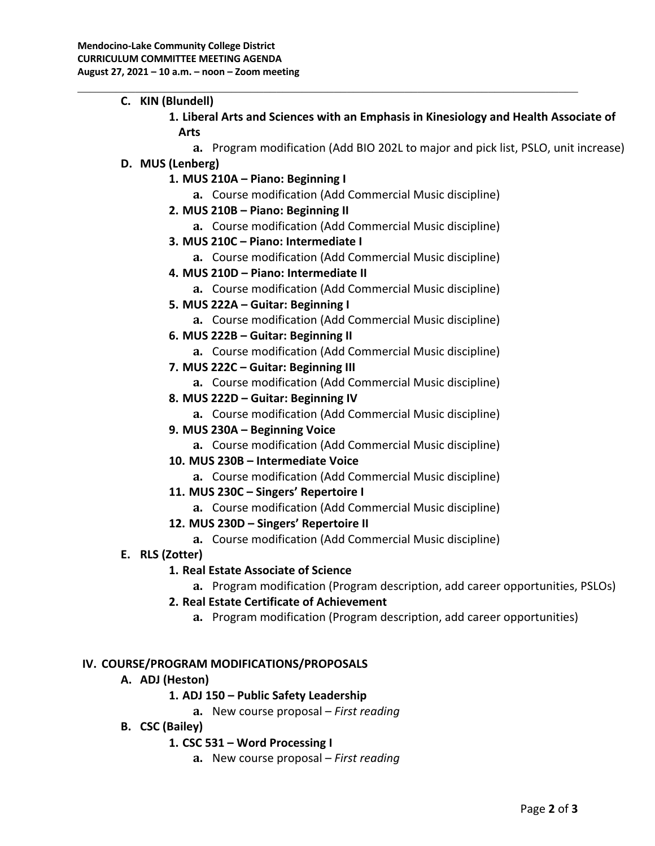- **C. KIN (Blundell)**
	- **1. Liberal Arts and Sciences with an Emphasis in Kinesiology and Health Associate of Arts**
		- **a.** Program modification (Add BIO 202L to major and pick list, PSLO, unit increase)

### **D. MUS (Lenberg)**

- **1. MUS 210A – Piano: Beginning I**
	- **a.** Course modification (Add Commercial Music discipline)
- **2. MUS 210B – Piano: Beginning II**
	- **a.** Course modification (Add Commercial Music discipline)
- **3. MUS 210C – Piano: Intermediate I**
	- **a.** Course modification (Add Commercial Music discipline)
- **4. MUS 210D – Piano: Intermediate II**
	- **a.** Course modification (Add Commercial Music discipline)
- **5. MUS 222A – Guitar: Beginning I**
	- **a.** Course modification (Add Commercial Music discipline)
- **6. MUS 222B – Guitar: Beginning II**
	- **a.** Course modification (Add Commercial Music discipline)
- **7. MUS 222C – Guitar: Beginning III**
	- **a.** Course modification (Add Commercial Music discipline)
- **8. MUS 222D – Guitar: Beginning IV**
	- **a.** Course modification (Add Commercial Music discipline)
- **9. MUS 230A – Beginning Voice**
	- **a.** Course modification (Add Commercial Music discipline)
- **10. MUS 230B – Intermediate Voice**
	- **a.** Course modification (Add Commercial Music discipline)
- **11. MUS 230C – Singers' Repertoire I**
	- **a.** Course modification (Add Commercial Music discipline)
- **12. MUS 230D – Singers' Repertoire II**
	- **a.** Course modification (Add Commercial Music discipline)

#### **E. RLS (Zotter)**

# **1. Real Estate Associate of Science**

**a.** Program modification (Program description, add career opportunities, PSLOs)

- **2. Real Estate Certificate of Achievement**
	- **a.** Program modification (Program description, add career opportunities)

# **IV. COURSE/PROGRAM MODIFICATIONS/PROPOSALS**

# **A. ADJ (Heston)**

# **1. ADJ 150 – Public Safety Leadership**

- **a.** New course proposal *First reading*
- **B. CSC (Bailey)**

# **1. CSC 531 – Word Processing I**

**a.** New course proposal – *First reading*